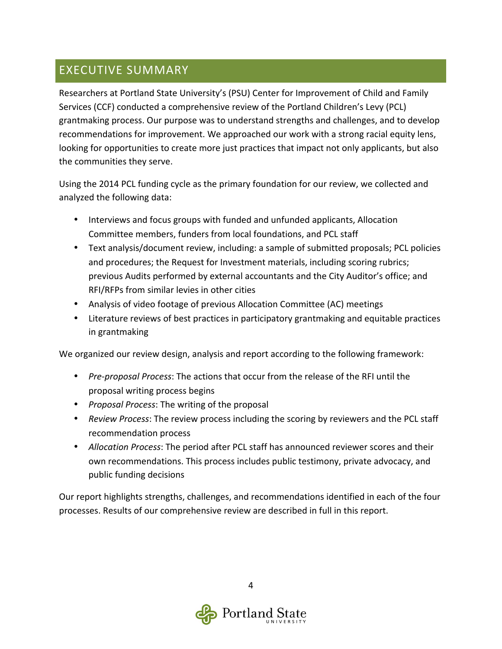## EXECUTIVE SUMMARY

Researchers at Portland State University's (PSU) Center for Improvement of Child and Family Services (CCF) conducted a comprehensive review of the Portland Children's Levy (PCL) grantmaking process. Our purpose was to understand strengths and challenges, and to develop recommendations for improvement. We approached our work with a strong racial equity lens, looking for opportunities to create more just practices that impact not only applicants, but also the communities they serve.

Using the 2014 PCL funding cycle as the primary foundation for our review, we collected and analyzed the following data:

- Interviews and focus groups with funded and unfunded applicants, Allocation Committee members, funders from local foundations, and PCL staff
- Text analysis/document review, including: a sample of submitted proposals; PCL policies and procedures; the Request for Investment materials, including scoring rubrics; previous Audits performed by external accountants and the City Auditor's office; and RFI/RFPs from similar levies in other cities
- Analysis of video footage of previous Allocation Committee (AC) meetings
- Literature reviews of best practices in participatory grantmaking and equitable practices in grantmaking

We organized our review design, analysis and report according to the following framework:

- *Pre-proposal Process*: The actions that occur from the release of the RFI until the proposal writing process begins
- *Proposal Process*: The writing of the proposal
- Review Process: The review process including the scoring by reviewers and the PCL staff recommendation process
- *Allocation Process*: The period after PCL staff has announced reviewer scores and their own recommendations. This process includes public testimony, private advocacy, and public funding decisions

Our report highlights strengths, challenges, and recommendations identified in each of the four processes. Results of our comprehensive review are described in full in this report.

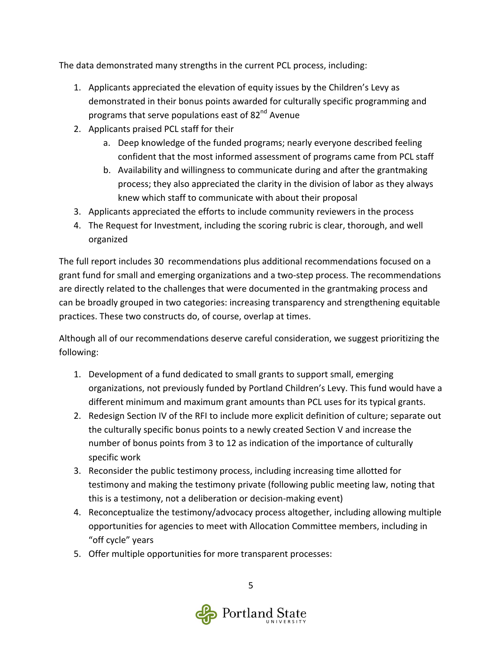The data demonstrated many strengths in the current PCL process, including:

- 1. Applicants appreciated the elevation of equity issues by the Children's Levy as demonstrated in their bonus points awarded for culturally specific programming and programs that serve populations east of  $82<sup>nd</sup>$  Avenue
- 2. Applicants praised PCL staff for their
	- a. Deep knowledge of the funded programs; nearly everyone described feeling confident that the most informed assessment of programs came from PCL staff
	- b. Availability and willingness to communicate during and after the grantmaking process; they also appreciated the clarity in the division of labor as they always knew which staff to communicate with about their proposal
- 3. Applicants appreciated the efforts to include community reviewers in the process
- 4. The Request for Investment, including the scoring rubric is clear, thorough, and well organized

The full report includes 30 recommendations plus additional recommendations focused on a grant fund for small and emerging organizations and a two-step process. The recommendations are directly related to the challenges that were documented in the grantmaking process and can be broadly grouped in two categories: increasing transparency and strengthening equitable practices. These two constructs do, of course, overlap at times.

Although all of our recommendations deserve careful consideration, we suggest prioritizing the following:

- 1. Development of a fund dedicated to small grants to support small, emerging organizations, not previously funded by Portland Children's Levy. This fund would have a different minimum and maximum grant amounts than PCL uses for its typical grants.
- 2. Redesign Section IV of the RFI to include more explicit definition of culture; separate out the culturally specific bonus points to a newly created Section V and increase the number of bonus points from 3 to 12 as indication of the importance of culturally specific work
- 3. Reconsider the public testimony process, including increasing time allotted for testimony and making the testimony private (following public meeting law, noting that this is a testimony, not a deliberation or decision-making event)
- 4. Reconceptualize the testimony/advocacy process altogether, including allowing multiple opportunities for agencies to meet with Allocation Committee members, including in "off cycle" years
- 5. Offer multiple opportunities for more transparent processes: